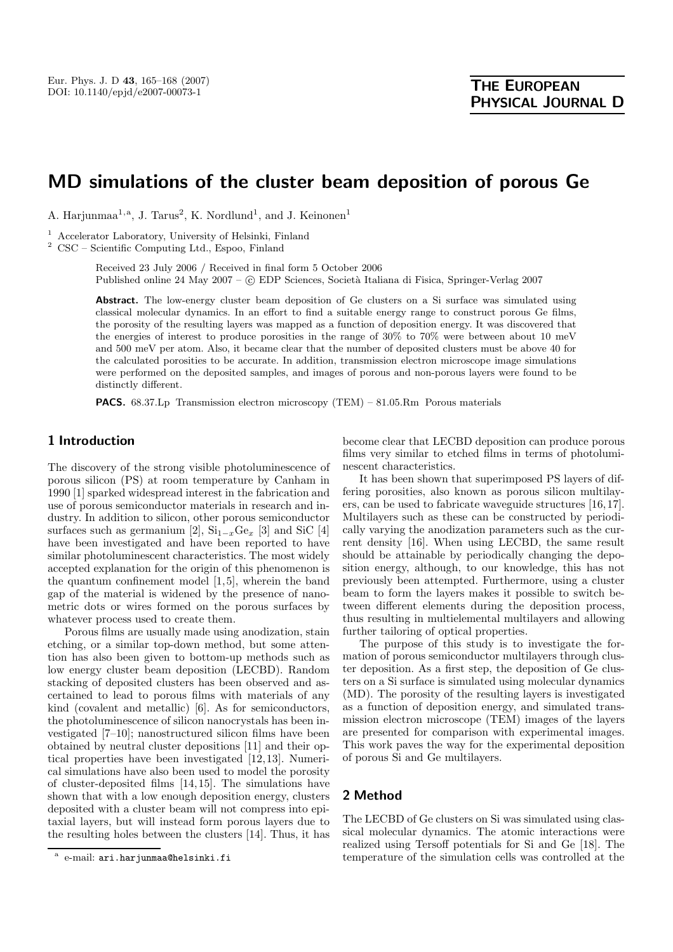# **MD simulations of the cluster beam deposition of porous Ge**

A. Harjunmaa<sup>1,a</sup>, J. Tarus<sup>2</sup>, K. Nordlund<sup>1</sup>, and J. Keinonen<sup>1</sup>

<sup>1</sup> Accelerator Laboratory, University of Helsinki, Finland

<sup>2</sup> CSC – Scientific Computing Ltd., Espoo, Finland

Received 23 July 2006 / Received in final form 5 October 2006 Published online 24 May 2007 – © EDP Sciences, Società Italiana di Fisica, Springer-Verlag 2007

**Abstract.** The low-energy cluster beam deposition of Ge clusters on a Si surface was simulated using classical molecular dynamics. In an effort to find a suitable energy range to construct porous Ge films, the porosity of the resulting layers was mapped as a function of deposition energy. It was discovered that the energies of interest to produce porosities in the range of 30% to 70% were between about 10 meV and 500 meV per atom. Also, it became clear that the number of deposited clusters must be above 40 for the calculated porosities to be accurate. In addition, transmission electron microscope image simulations were performed on the deposited samples, and images of porous and non-porous layers were found to be distinctly different.

**PACS.** 68.37.Lp Transmission electron microscopy (TEM) – 81.05.Rm Porous materials

# **1 Introduction**

The discovery of the strong visible photoluminescence of porous silicon (PS) at room temperature by Canham in 1990 [1] sparked widespread interest in the fabrication and use of porous semiconductor materials in research and industry. In addition to silicon, other porous semiconductor surfaces such as germanium [2],  $\text{Si}_{1-x}\text{Ge}_x$  [3] and SiC [4] have been investigated and have been reported to have similar photoluminescent characteristics. The most widely accepted explanation for the origin of this phenomenon is the quantum confinement model [1,5], wherein the band gap of the material is widened by the presence of nanometric dots or wires formed on the porous surfaces by whatever process used to create them.

Porous films are usually made using anodization, stain etching, or a similar top-down method, but some attention has also been given to bottom-up methods such as low energy cluster beam deposition (LECBD). Random stacking of deposited clusters has been observed and ascertained to lead to porous films with materials of any kind (covalent and metallic) [6]. As for semiconductors, the photoluminescence of silicon nanocrystals has been investigated [7–10]; nanostructured silicon films have been obtained by neutral cluster depositions [11] and their optical properties have been investigated [12,13]. Numerical simulations have also been used to model the porosity of cluster-deposited films [14,15]. The simulations have shown that with a low enough deposition energy, clusters deposited with a cluster beam will not compress into epitaxial layers, but will instead form porous layers due to the resulting holes between the clusters [14]. Thus, it has become clear that LECBD deposition can produce porous films very similar to etched films in terms of photoluminescent characteristics.

It has been shown that superimposed PS layers of differing porosities, also known as porous silicon multilayers, can be used to fabricate waveguide structures [16,17]. Multilayers such as these can be constructed by periodically varying the anodization parameters such as the current density [16]. When using LECBD, the same result should be attainable by periodically changing the deposition energy, although, to our knowledge, this has not previously been attempted. Furthermore, using a cluster beam to form the layers makes it possible to switch between different elements during the deposition process, thus resulting in multielemental multilayers and allowing further tailoring of optical properties.

The purpose of this study is to investigate the formation of porous semiconductor multilayers through cluster deposition. As a first step, the deposition of Ge clusters on a Si surface is simulated using molecular dynamics (MD). The porosity of the resulting layers is investigated as a function of deposition energy, and simulated transmission electron microscope (TEM) images of the layers are presented for comparison with experimental images. This work paves the way for the experimental deposition of porous Si and Ge multilayers.

## **2 Method**

The LECBD of Ge clusters on Si was simulated using classical molecular dynamics. The atomic interactions were realized using Tersoff potentials for Si and Ge [18]. The temperature of the simulation cells was controlled at the

e-mail: ari.harjunmaa@helsinki.fi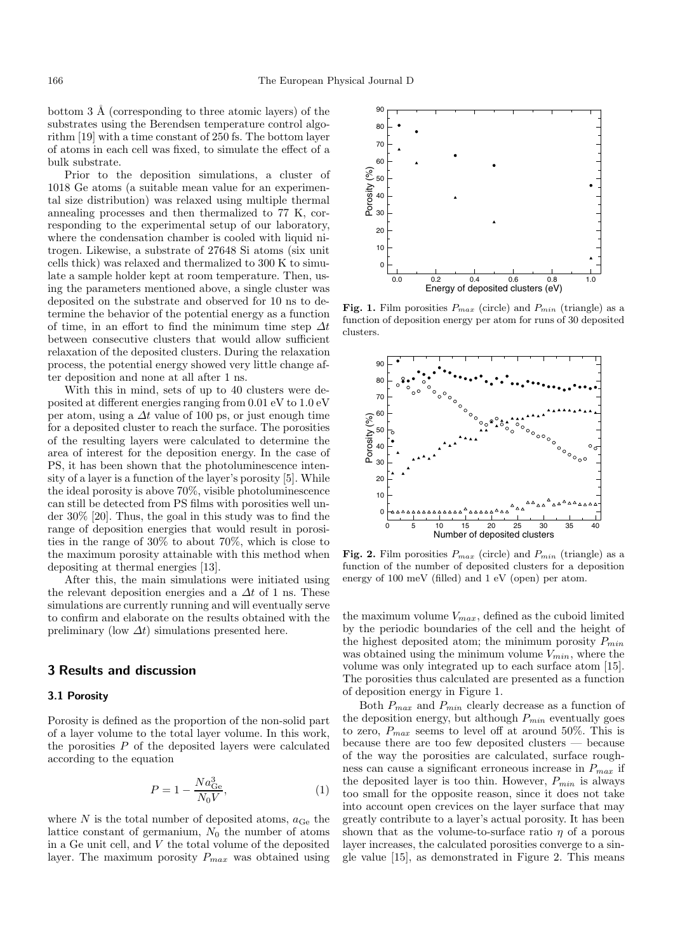bottom  $3 \text{ Å}$  (corresponding to three atomic layers) of the substrates using the Berendsen temperature control algorithm [19] with a time constant of 250 fs. The bottom layer of atoms in each cell was fixed, to simulate the effect of a bulk substrate.

Prior to the deposition simulations, a cluster of 1018 Ge atoms (a suitable mean value for an experimental size distribution) was relaxed using multiple thermal annealing processes and then thermalized to 77 K, corresponding to the experimental setup of our laboratory, where the condensation chamber is cooled with liquid nitrogen. Likewise, a substrate of 27648 Si atoms (six unit cells thick) was relaxed and thermalized to 300 K to simulate a sample holder kept at room temperature. Then, using the parameters mentioned above, a single cluster was deposited on the substrate and observed for 10 ns to determine the behavior of the potential energy as a function of time, in an effort to find the minimum time step  $\Delta t$ between consecutive clusters that would allow sufficient relaxation of the deposited clusters. During the relaxation process, the potential energy showed very little change after deposition and none at all after 1 ns.

With this in mind, sets of up to 40 clusters were deposited at different energies ranging from 0.01 eV to 1.0 eV per atom, using a  $\Delta t$  value of 100 ps, or just enough time for a deposited cluster to reach the surface. The porosities of the resulting layers were calculated to determine the area of interest for the deposition energy. In the case of PS, it has been shown that the photoluminescence intensity of a layer is a function of the layer's porosity [5]. While the ideal porosity is above 70%, visible photoluminescence can still be detected from PS films with porosities well under 30% [20]. Thus, the goal in this study was to find the range of deposition energies that would result in porosities in the range of 30% to about 70%, which is close to the maximum porosity attainable with this method when depositing at thermal energies [13].

After this, the main simulations were initiated using the relevant deposition energies and a  $\Delta t$  of 1 ns. These simulations are currently running and will eventually serve to confirm and elaborate on the results obtained with the preliminary (low  $\Delta t$ ) simulations presented here.

### **3 Results and discussion**

#### **3.1 Porosity**

Porosity is defined as the proportion of the non-solid part of a layer volume to the total layer volume. In this work, the porosities  $P$  of the deposited layers were calculated according to the equation

$$
P = 1 - \frac{Na_{\text{Ge}}^3}{N_0 V},\tag{1}
$$

where  $N$  is the total number of deposited atoms,  $a_{\text{Ge}}$  the lattice constant of germanium,  $N_0$  the number of atoms in a Ge unit cell, and  $V$  the total volume of the deposited layer. The maximum porosity P*max* was obtained using



**Fig. 1.** Film porosities  $P_{max}$  (circle) and  $P_{min}$  (triangle) as a function of deposition energy per atom for runs of 30 deposited clusters.



**Fig. 2.** Film porosities  $P_{max}$  (circle) and  $P_{min}$  (triangle) as a function of the number of deposited clusters for a deposition energy of 100 meV (filled) and 1 eV (open) per atom.

the maximum volume  $V_{\max},$  defined as the cuboid limited by the periodic boundaries of the cell and the height of the highest deposited atom; the minimum porosity P*min* was obtained using the minimum volume V*min*, where the volume was only integrated up to each surface atom [15]. The porosities thus calculated are presented as a function of deposition energy in Figure 1.

Both P*max* and P*min* clearly decrease as a function of the deposition energy, but although  $P_{min}$  eventually goes to zero, P*max* seems to level off at around 50%. This is because there are too few deposited clusters — because of the way the porosities are calculated, surface roughness can cause a significant erroneous increase in P*max* if the deposited layer is too thin. However, P*min* is always too small for the opposite reason, since it does not take into account open crevices on the layer surface that may greatly contribute to a layer's actual porosity. It has been shown that as the volume-to-surface ratio  $\eta$  of a porous layer increases, the calculated porosities converge to a single value [15], as demonstrated in Figure 2. This means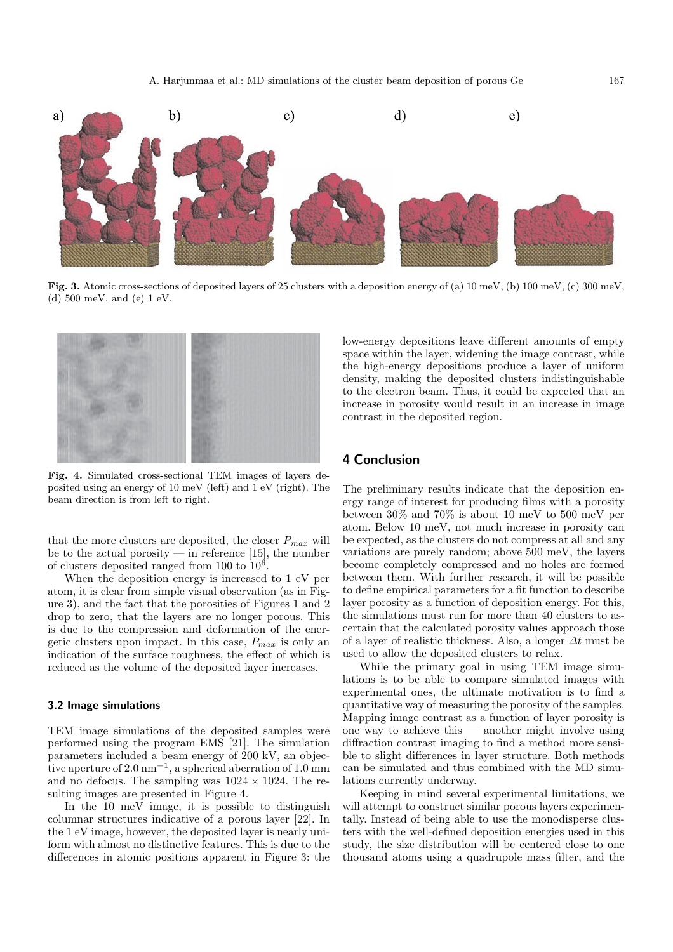

**Fig. 3.** Atomic cross-sections of deposited layers of 25 clusters with a deposition energy of (a) 10 meV, (b) 100 meV, (c) 300 meV, (d) 500 meV, and (e) 1 eV.



**Fig. 4.** Simulated cross-sectional TEM images of layers deposited using an energy of 10 meV (left) and 1 eV (right). The beam direction is from left to right.

that the more clusters are deposited, the closer  $P_{max}$  will be to the actual porosity — in reference [15], the number of clusters deposited ranged from 100 to  $10^6$ .

When the deposition energy is increased to 1 eV per atom, it is clear from simple visual observation (as in Figure 3), and the fact that the porosities of Figures 1 and 2 drop to zero, that the layers are no longer porous. This is due to the compression and deformation of the energetic clusters upon impact. In this case, P*max* is only an indication of the surface roughness, the effect of which is reduced as the volume of the deposited layer increases.

#### **3.2 Image simulations**

TEM image simulations of the deposited samples were performed using the program EMS [21]. The simulation parameters included a beam energy of 200 kV, an objective aperture of 2.0 nm*−*<sup>1</sup>, a spherical aberration of 1.0 mm and no defocus. The sampling was  $1024 \times 1024$ . The resulting images are presented in Figure 4.

In the 10 meV image, it is possible to distinguish columnar structures indicative of a porous layer [22]. In the 1 eV image, however, the deposited layer is nearly uniform with almost no distinctive features. This is due to the differences in atomic positions apparent in Figure 3: the low-energy depositions leave different amounts of empty space within the layer, widening the image contrast, while the high-energy depositions produce a layer of uniform density, making the deposited clusters indistinguishable to the electron beam. Thus, it could be expected that an increase in porosity would result in an increase in image contrast in the deposited region.

## **4 Conclusion**

The preliminary results indicate that the deposition energy range of interest for producing films with a porosity between 30% and 70% is about 10 meV to 500 meV per atom. Below 10 meV, not much increase in porosity can be expected, as the clusters do not compress at all and any variations are purely random; above 500 meV, the layers become completely compressed and no holes are formed between them. With further research, it will be possible to define empirical parameters for a fit function to describe layer porosity as a function of deposition energy. For this, the simulations must run for more than 40 clusters to ascertain that the calculated porosity values approach those of a layer of realistic thickness. Also, a longer  $\Delta t$  must be used to allow the deposited clusters to relax.

While the primary goal in using TEM image simulations is to be able to compare simulated images with experimental ones, the ultimate motivation is to find a quantitative way of measuring the porosity of the samples. Mapping image contrast as a function of layer porosity is one way to achieve this — another might involve using diffraction contrast imaging to find a method more sensible to slight differences in layer structure. Both methods can be simulated and thus combined with the MD simulations currently underway.

Keeping in mind several experimental limitations, we will attempt to construct similar porous layers experimentally. Instead of being able to use the monodisperse clusters with the well-defined deposition energies used in this study, the size distribution will be centered close to one thousand atoms using a quadrupole mass filter, and the